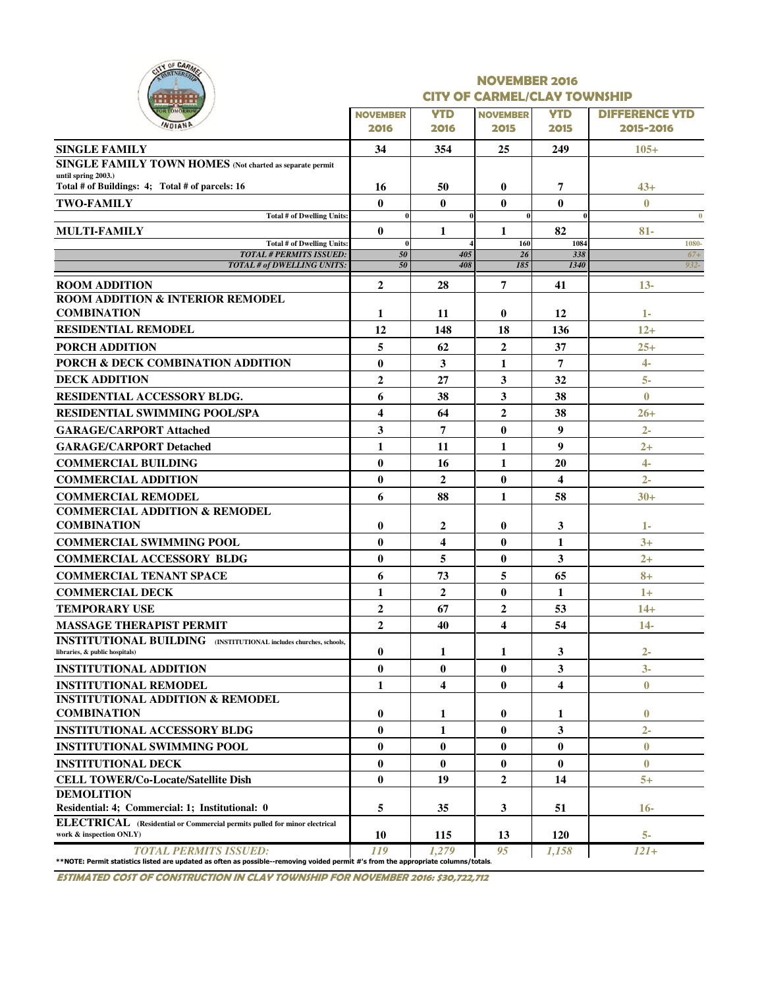|   |                | OF CARMER |  |
|---|----------------|-----------|--|
| ٠ |                | ш         |  |
|   | <b>STOMORE</b> | <b>TH</b> |  |
|   |                |           |  |

#### NOVEMBER 2016 CITY OF CARMEL/CLAY TOWNSHIP

| .                                                                                                                                                                  |                    |                         |                 |             |                       |
|--------------------------------------------------------------------------------------------------------------------------------------------------------------------|--------------------|-------------------------|-----------------|-------------|-----------------------|
| <b>OR TOMORROY</b><br><b>NDIANE</b>                                                                                                                                | <b>NOVEMBER</b>    | <b>YTD</b>              | <b>NOVEMBER</b> | <b>YTD</b>  | <b>DIFFERENCE YTD</b> |
|                                                                                                                                                                    | 2016               | 2016                    | 2015            | 2015        | 2015-2016             |
| <b>SINGLE FAMILY</b>                                                                                                                                               | 34                 | 354                     | 25              | 249         | $105+$                |
| SINGLE FAMILY TOWN HOMES (Not charted as separate permit                                                                                                           |                    |                         |                 |             |                       |
| until spring 2003.)<br>Total # of Buildings: 4; Total # of parcels: 16                                                                                             | 16                 | 50                      | $\bf{0}$        | 7           | 43+                   |
| <b>TWO-FAMILY</b>                                                                                                                                                  | $\mathbf{0}$       | $\mathbf{0}$            | $\bf{0}$        | $\bf{0}$    | $\bf{0}$              |
| <b>Total # of Dwelling Units:</b>                                                                                                                                  | $\bf{0}$           |                         | $\bf{0}$        | 0           | $\bf{0}$              |
| <b>MULTI-FAMILY</b>                                                                                                                                                | $\mathbf{0}$       | 1                       | 1               | 82          | $81-$                 |
| Total # of Dwelling Units:<br><b>TOTAL # PERMITS ISSUED:</b>                                                                                                       | $\mathbf{0}$<br>50 | 405                     | 160<br>26       | 1084<br>338 | 1080-<br>$67+$        |
| TOTAL # of DWELLING UNITS:                                                                                                                                         | 50                 | 408                     | 185             | 1340        | $932 -$               |
| <b>ROOM ADDITION</b>                                                                                                                                               | $\overline{2}$     | 28                      | 7               | 41          | $13-$                 |
| <b>ROOM ADDITION &amp; INTERIOR REMODEL</b>                                                                                                                        |                    |                         |                 |             |                       |
| <b>COMBINATION</b>                                                                                                                                                 | 1                  | 11                      | $\bf{0}$        | 12          | 1-                    |
| <b>RESIDENTIAL REMODEL</b>                                                                                                                                         | 12                 | 148                     | 18              | 136         | $12+$                 |
| <b>PORCH ADDITION</b>                                                                                                                                              | 5                  | 62                      | $\overline{2}$  | 37          | $25 +$                |
| PORCH & DECK COMBINATION ADDITION                                                                                                                                  | $\bf{0}$           | 3                       | 1               | 7           | $4-$                  |
| <b>DECK ADDITION</b>                                                                                                                                               | $\overline{2}$     | 27                      | 3               | 32          | $5-$                  |
| RESIDENTIAL ACCESSORY BLDG.                                                                                                                                        | 6                  | 38                      | 3               | 38          | $\bf{0}$              |
| <b>RESIDENTIAL SWIMMING POOL/SPA</b>                                                                                                                               | 4                  | 64                      | $\mathbf{2}$    | 38          | $26 +$                |
| <b>GARAGE/CARPORT Attached</b>                                                                                                                                     | 3                  | 7                       | $\bf{0}$        | 9           | $2-$                  |
| <b>GARAGE/CARPORT Detached</b>                                                                                                                                     | 1                  | 11                      | 1               | 9           | $2+$                  |
| <b>COMMERCIAL BUILDING</b>                                                                                                                                         | $\mathbf{0}$       | 16                      | 1               | 20          | $4-$                  |
| <b>COMMERCIAL ADDITION</b>                                                                                                                                         | $\mathbf{0}$       | $\mathbf{2}$            | $\bf{0}$        | 4           | $2 -$                 |
| <b>COMMERCIAL REMODEL</b>                                                                                                                                          | 6                  | 88                      | 1               | 58          | $30+$                 |
| <b>COMMERCIAL ADDITION &amp; REMODEL</b>                                                                                                                           |                    |                         |                 |             |                       |
| <b>COMBINATION</b>                                                                                                                                                 | $\bf{0}$           | $\mathbf{2}$            | 0               | 3           | $1 -$                 |
| <b>COMMERCIAL SWIMMING POOL</b>                                                                                                                                    | $\mathbf{0}$       | $\overline{\mathbf{4}}$ | $\bf{0}$        | 1           | $3+$                  |
| <b>COMMERCIAL ACCESSORY BLDG</b>                                                                                                                                   | $\mathbf{0}$       | 5                       | 0               | 3           | $2+$                  |
| <b>COMMERCIAL TENANT SPACE</b>                                                                                                                                     | 6                  | 73                      | 5               | 65          | $8+$                  |
| <b>COMMERCIAL DECK</b>                                                                                                                                             | 1                  | $\overline{2}$          | $\bf{0}$        | 1           | $1+$                  |
| TEMPORARY USE                                                                                                                                                      | $\overline{2}$     | 67                      | $\overline{2}$  | 53          | $14+$                 |
| <b>MASSAGE THERAPIST PERMIT</b>                                                                                                                                    | $\overline{2}$     | 40                      | 4               | 54          | $14-$                 |
| <b>INSTITUTIONAL BUILDING</b> (INSTITUTIONAL includes churches, schools,                                                                                           |                    |                         |                 |             |                       |
| libraries, & public hospitals)                                                                                                                                     | $\bf{0}$           | 1                       | 1               | 3           | $2-$                  |
| <b>INSTITUTIONAL ADDITION</b>                                                                                                                                      | $\bf{0}$           | $\bf{0}$                | $\bf{0}$        | 3           | $3-$                  |
| <b>INSTITUTIONAL REMODEL</b>                                                                                                                                       | 1                  | $\overline{\mathbf{4}}$ | $\bf{0}$        | 4           | $\bf{0}$              |
| <b>INSTITUTIONAL ADDITION &amp; REMODEL</b>                                                                                                                        |                    |                         |                 |             |                       |
| <b>COMBINATION</b>                                                                                                                                                 | $\bf{0}$           | 1                       | $\bf{0}$        | 1           | $\bf{0}$              |
| <b>INSTITUTIONAL ACCESSORY BLDG</b>                                                                                                                                | $\mathbf{0}$       | 1                       | $\bf{0}$        | 3           | $2 -$                 |
| <b>INSTITUTIONAL SWIMMING POOL</b>                                                                                                                                 | $\bf{0}$           | $\bf{0}$                | $\bf{0}$        | $\bf{0}$    | $\mathbf{0}$          |
| <b>INSTITUTIONAL DECK</b>                                                                                                                                          | $\bf{0}$           | $\bf{0}$                | $\bf{0}$        | 0           | $\bf{0}$              |
| <b>CELL TOWER/Co-Locate/Satellite Dish</b>                                                                                                                         | $\bf{0}$           | 19                      | $\mathbf{2}$    | 14          | $5+$                  |
| <b>DEMOLITION</b>                                                                                                                                                  |                    |                         |                 |             |                       |
| Residential: 4; Commercial: 1; Institutional: 0                                                                                                                    | 5                  | 35                      | 3               | 51          | $16-$                 |
| ELECTRICAL (Residential or Commercial permits pulled for minor electrical<br>work & inspection ONLY)                                                               | 10                 | 115                     | 13              | <b>120</b>  | $5-$                  |
| <b>TOTAL PERMITS ISSUED:</b><br>**NOTE: Permit statistics listed are updated as often as possible--removing voided permit #'s from the appropriate columns/totals. | 119                | 1.279                   | 95              | 1,158       | $121+$                |

ESTIMATED COST OF CONSTRUCTION IN CLAY TOWNSHIP FOR NOVEMBER 2016: \$30,722,712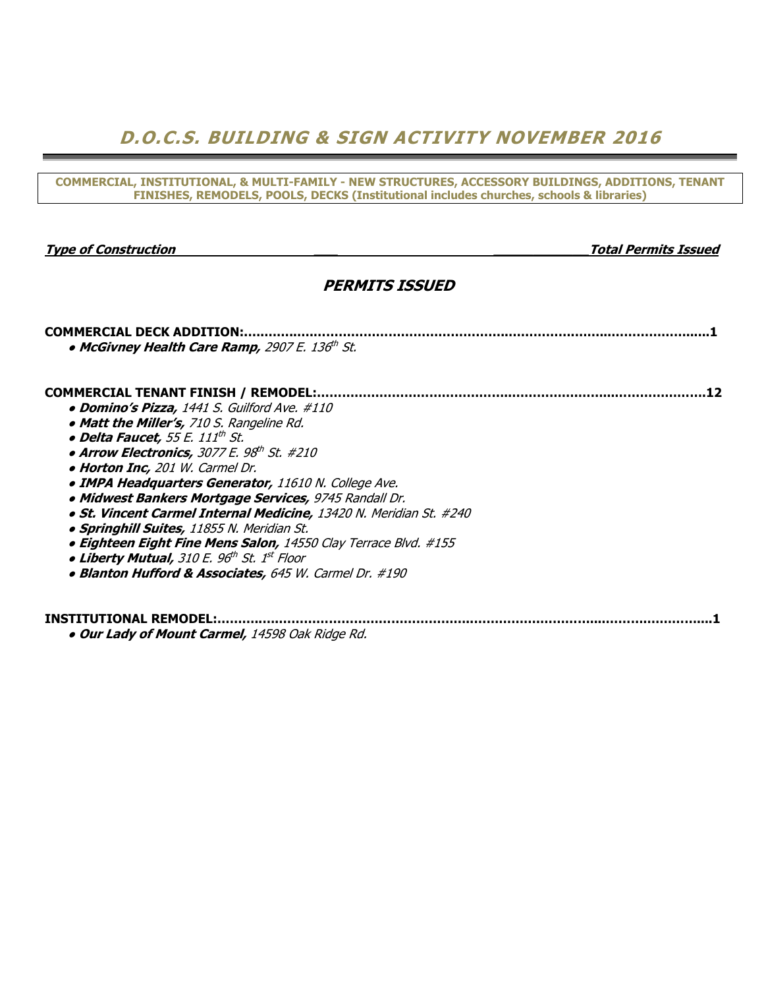# D.O.C.S. BUILDING & SIGN ACTIVITY NOVEMBER 2016

COMMERCIAL, INSTITUTIONAL, & MULTI-FAMILY - NEW STRUCTURES, ACCESSORY BUILDINGS, ADDITIONS, TENANT FINISHES, REMODELS, POOLS, DECKS (Institutional includes churches, schools & libraries)

Type of Construction \_\_\_ \_\_\_\_\_\_\_\_\_\_\_\_Total Permits Issued

# PERMITS ISSUED

COMMERCIAL DECK ADDITION:.….……..….………………………………………..…………….……...………………......1

# COMMERCIAL TENANT FINISH / REMODEL:………………………………………..…………….……...………………….12

 $\bullet$  McGivney Health Care Ramp, 2907 E. 136th St.

- Domino's Pizza, 1441 S. Guilford Ave. #110
- Matt the Miller's, 710 S. Rangeline Rd.
- Delta Faucet, 55 E. 111<sup>th</sup> St.
- $\bullet$  Arrow Electronics, 3077 E. 98th St. #210
- Horton Inc, 201 W. Carmel Dr.
- **IMPA Headquarters Generator, 11610 N. College Ave.**
- Midwest Bankers Mortgage Services, 9745 Randall Dr.
- St. Vincent Carmel Internal Medicine, 13420 N. Meridian St. #240
- **Springhill Suites, 11855 N. Meridian St.**
- Eighteen Eight Fine Mens Salon, 14550 Clay Terrace Blvd. #155
- Liberty Mutual, 310 E. 96th St. 1st Floor
- Blanton Hufford & Associates, 645 W. Carmel Dr. #190

# INSTITUTIONAL REMODEL:………..….………………………………………..…………….…………....……….…………....1

**. Our Lady of Mount Carmel, 14598 Oak Ridge Rd.**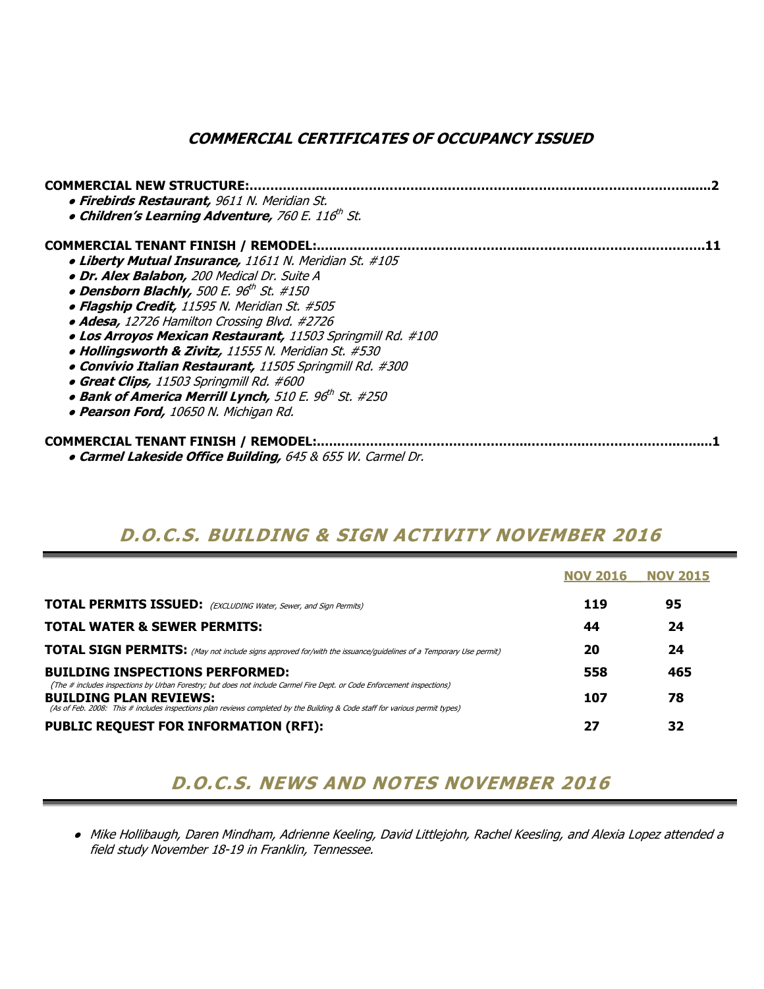# COMMERCIAL CERTIFICATES OF OCCUPANCY ISSUED

| <b>COMMERCIAL NEW STRUCTURE:</b><br>· Firebirds Restaurant, 9611 N. Meridian St.<br>• Children's Learning Adventure, 760 E. 116 <sup>th</sup> St. |  |
|---------------------------------------------------------------------------------------------------------------------------------------------------|--|
| <b>COMMERCIAL TENANT FINISH / REMODEL:</b>                                                                                                        |  |
| • Liberty Mutual Insurance, 11611 N. Meridian St. #105                                                                                            |  |
| · Dr. Alex Balabon, 200 Medical Dr. Suite A                                                                                                       |  |
| • Densborn Blachly, 500 E. $96^{\text{th}}$ St. #150                                                                                              |  |
| • Flagship Credit, 11595 N. Meridian St. #505                                                                                                     |  |
| • Adesa, 12726 Hamilton Crossing Blvd. #2726                                                                                                      |  |
| . Los Arroyos Mexican Restaurant, 11503 Springmill Rd. #100                                                                                       |  |
| • Hollingsworth & Zivitz, 11555 N. Meridian St. #530                                                                                              |  |
| • Convivio Italian Restaurant, 11505 Springmill Rd. #300                                                                                          |  |
| • Great Clips, 11503 Springmill Rd. #600                                                                                                          |  |
| • Bank of America Merrill Lynch, 510 E. 96th St. #250                                                                                             |  |
| • Pearson Ford, 10650 N. Michigan Rd.                                                                                                             |  |
| <b>COMMERCIAL TENANT FINISH / REMODEL:</b>                                                                                                        |  |
| • Carmel Lakeside Office Building, 645 & 655 W. Carmel Dr.                                                                                        |  |

# D.O.C.S. BUILDING & SIGN ACTIVITY NOVEMBER 2016

|                                                                                                                                                                                                                                                                                        | <b>NOV 2016</b> | <b>NOV 2015</b> |
|----------------------------------------------------------------------------------------------------------------------------------------------------------------------------------------------------------------------------------------------------------------------------------------|-----------------|-----------------|
| <b>TOTAL PERMITS ISSUED:</b> (EXCLUDING Water, Sewer, and Sign Permits)                                                                                                                                                                                                                | 119             | 95              |
| <b>TOTAL WATER &amp; SEWER PERMITS:</b>                                                                                                                                                                                                                                                | 44              | 24              |
| <b>TOTAL SIGN PERMITS:</b> (May not include signs approved for/with the issuance/guidelines of a Temporary Use permit)                                                                                                                                                                 | 20              | 24              |
| <b>BUILDING INSPECTIONS PERFORMED:</b>                                                                                                                                                                                                                                                 | 558             | 465             |
| (The # includes inspections by Urban Forestry; but does not include Carmel Fire Dept. or Code Enforcement inspections)<br><b>BUILDING PLAN REVIEWS:</b><br>(As of Feb. 2008: This # includes inspections plan reviews completed by the Building & Code staff for various permit types) | 107             | 78              |
| <b>PUBLIC REQUEST FOR INFORMATION (RFI):</b>                                                                                                                                                                                                                                           | 27              | 32              |

# D.O.C.S. NEWS AND NOTES NOVEMBER 2016

● Mike Hollibaugh, Daren Mindham, Adrienne Keeling, David Littlejohn, Rachel Keesling, and Alexia Lopez attended a field study November 18-19 in Franklin, Tennessee.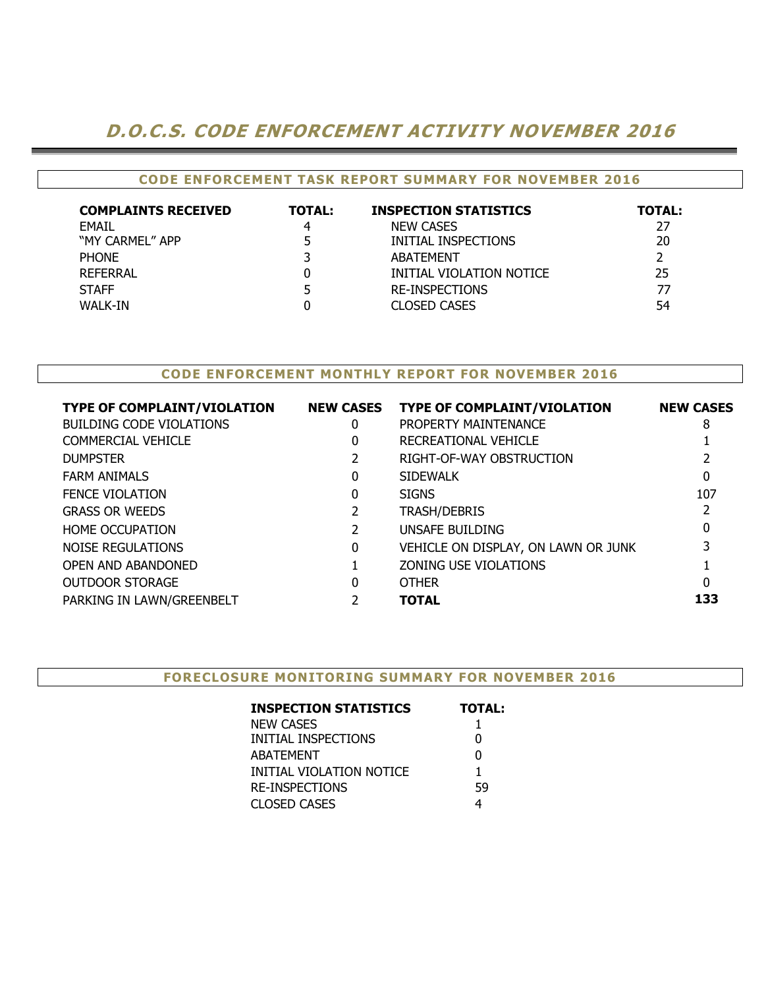# D.O.C.S. CODE ENFORCEMENT ACTIVITY NOVEMBER 2016

### CODE ENFORCEMENT TASK REPORT SUMMARY FOR NOVEMBER 2016

| <b>COMPLAINTS RECEIVED</b> | <b>TOTAL:</b> | <b>INSPECTION STATISTICS</b> | <b>TOTAL:</b> |
|----------------------------|---------------|------------------------------|---------------|
| <b>FMAIL</b>               |               | <b>NEW CASES</b>             | 27            |
| "MY CARMEL" APP            |               | INITIAL INSPECTIONS          | 20            |
| <b>PHONE</b>               |               | <b>ABATEMENT</b>             |               |
| REFERRAL                   |               | INITIAL VIOLATION NOTICE     | 25            |
| <b>STAFF</b>               |               | RE-INSPECTIONS               | 77            |
| WALK-IN                    |               | <b>CLOSED CASES</b>          | 54            |

### CODE ENFORCEMENT MONTHLY REPORT FOR NOVEMBER 2016

| <b>TYPE OF COMPLAINT/VIOLATION</b> |   | NEW CASES TYPE OF COMPLAINT/VIOLATION | <b>NEW CASES</b> |
|------------------------------------|---|---------------------------------------|------------------|
| <b>BUILDING CODE VIOLATIONS</b>    | 0 | PROPERTY MAINTENANCE                  | 8                |
| <b>COMMERCIAL VEHICLE</b>          | 0 | RECREATIONAL VEHICLE                  |                  |
| <b>DUMPSTER</b>                    |   | RIGHT-OF-WAY OBSTRUCTION              |                  |
| <b>FARM ANIMALS</b>                | 0 | <b>SIDEWALK</b>                       | 0                |
| <b>FENCE VIOLATION</b>             | 0 | <b>SIGNS</b>                          | 107              |
| <b>GRASS OR WEEDS</b>              |   | <b>TRASH/DEBRIS</b>                   |                  |
| <b>HOME OCCUPATION</b>             |   | UNSAFE BUILDING                       | 0                |
| NOISE REGULATIONS                  | 0 | VEHICLE ON DISPLAY, ON LAWN OR JUNK   |                  |
| OPEN AND ABANDONED                 |   | ZONING USE VIOLATIONS                 |                  |
| <b>OUTDOOR STORAGE</b>             | 0 | <b>OTHER</b>                          | 0                |
| PARKING IN LAWN/GREENBELT          |   | <b>TOTAL</b>                          | 133              |

#### FORECLOSURE MONITORING SUMMARY FOR NOVEMBER 2016

| <b>INSPECTION STATISTICS</b> | <b>TOTAL:</b> |
|------------------------------|---------------|
| NEW CASES                    |               |
| INITIAL INSPECTIONS          | 0             |
| ABATEMENT                    | N             |
| INITIAL VIOLATION NOTICE     |               |
| <b>RE-INSPECTIONS</b>        | 59            |
| <b>CLOSED CASES</b>          |               |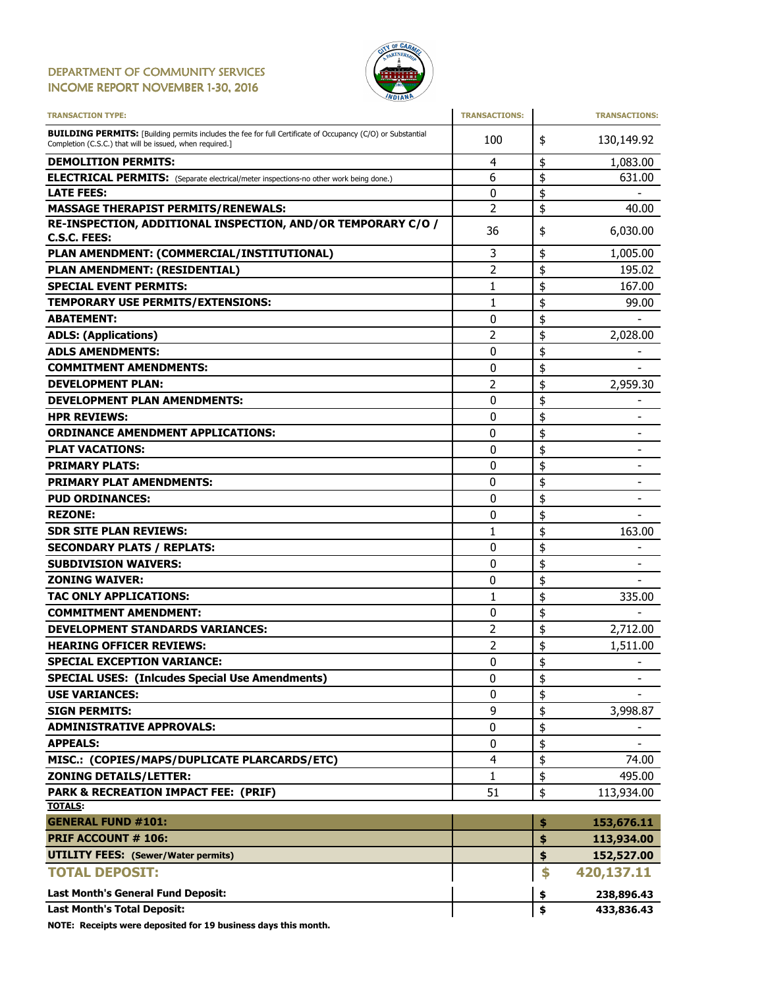### DEPARTMENT OF COMMUNITY SERVICES INCOME REPORT NOVEMBER 1-30, 2016



| <b>TRANSACTION TYPE:</b>                                                                                                                                                       | <b>TRANSACTIONS:</b> | <b>TRANSACTIONS:</b>               |
|--------------------------------------------------------------------------------------------------------------------------------------------------------------------------------|----------------------|------------------------------------|
| <b>BUILDING PERMITS:</b> [Building permits includes the fee for full Certificate of Occupancy (C/O) or Substantial<br>Completion (C.S.C.) that will be issued, when required.] | 100                  | \$<br>130,149.92                   |
| <b>DEMOLITION PERMITS:</b>                                                                                                                                                     | 4                    | \$<br>1,083.00                     |
| <b>ELECTRICAL PERMITS:</b> (Separate electrical/meter inspections-no other work being done.)                                                                                   | 6                    | \$<br>631.00                       |
| <b>LATE FEES:</b>                                                                                                                                                              | 0                    | \$                                 |
| <b>MASSAGE THERAPIST PERMITS/RENEWALS:</b>                                                                                                                                     | 2                    | \$<br>40.00                        |
| RE-INSPECTION, ADDITIONAL INSPECTION, AND/OR TEMPORARY C/O /<br>C.S.C. FEES:                                                                                                   | 36                   | \$<br>6,030.00                     |
| PLAN AMENDMENT: (COMMERCIAL/INSTITUTIONAL)                                                                                                                                     | 3                    | \$<br>1,005.00                     |
| PLAN AMENDMENT: (RESIDENTIAL)                                                                                                                                                  | 2                    | \$<br>195.02                       |
| <b>SPECIAL EVENT PERMITS:</b>                                                                                                                                                  | 1                    | \$<br>167.00                       |
| TEMPORARY USE PERMITS/EXTENSIONS:                                                                                                                                              | 1                    | \$<br>99.00                        |
| <b>ABATEMENT:</b>                                                                                                                                                              | 0                    | \$                                 |
| <b>ADLS: (Applications)</b>                                                                                                                                                    | 2                    | \$<br>2,028.00                     |
| <b>ADLS AMENDMENTS:</b>                                                                                                                                                        | 0                    | \$                                 |
| <b>COMMITMENT AMENDMENTS:</b>                                                                                                                                                  | 0                    | \$                                 |
| <b>DEVELOPMENT PLAN:</b>                                                                                                                                                       | 2                    | \$<br>2,959.30                     |
| <b>DEVELOPMENT PLAN AMENDMENTS:</b>                                                                                                                                            | 0                    | \$                                 |
| <b>HPR REVIEWS:</b>                                                                                                                                                            | 0                    | \$                                 |
| <b>ORDINANCE AMENDMENT APPLICATIONS:</b>                                                                                                                                       | 0                    | \$<br>$\qquad \qquad \blacksquare$ |
| <b>PLAT VACATIONS:</b>                                                                                                                                                         | 0                    | \$                                 |
| <b>PRIMARY PLATS:</b>                                                                                                                                                          | 0                    | \$                                 |
| <b>PRIMARY PLAT AMENDMENTS:</b>                                                                                                                                                | 0                    | \$<br>$\overline{\phantom{0}}$     |
| <b>PUD ORDINANCES:</b>                                                                                                                                                         | 0                    | \$                                 |
| <b>REZONE:</b>                                                                                                                                                                 | 0                    | \$                                 |
| <b>SDR SITE PLAN REVIEWS:</b>                                                                                                                                                  | 1                    | \$<br>163.00                       |
| <b>SECONDARY PLATS / REPLATS:</b>                                                                                                                                              | 0                    | \$                                 |
| <b>SUBDIVISION WAIVERS:</b>                                                                                                                                                    | 0                    | \$                                 |
| <b>ZONING WAIVER:</b>                                                                                                                                                          | 0                    | \$                                 |
| <b>TAC ONLY APPLICATIONS:</b>                                                                                                                                                  | 1                    | \$<br>335.00                       |
| <b>COMMITMENT AMENDMENT:</b>                                                                                                                                                   | 0                    | \$                                 |
| DEVELOPMENT STANDARDS VARIANCES:                                                                                                                                               | 2                    | \$<br>2,712.00                     |
| <b>HEARING OFFICER REVIEWS:</b>                                                                                                                                                | 2                    | \$<br>1,511.00                     |
| <b>SPECIAL EXCEPTION VARIANCE:</b>                                                                                                                                             | 0                    | \$<br>$\overline{\phantom{a}}$     |
| <b>SPECIAL USES: (Inlcudes Special Use Amendments)</b>                                                                                                                         | 0                    | \$<br>$\qquad \qquad \blacksquare$ |
| <b>USE VARIANCES:</b>                                                                                                                                                          | 0                    | \$                                 |
| <b>SIGN PERMITS:</b>                                                                                                                                                           | 9                    | \$<br>3,998.87                     |
| <b>ADMINISTRATIVE APPROVALS:</b>                                                                                                                                               | 0                    | \$                                 |
| <b>APPEALS:</b>                                                                                                                                                                | 0                    | \$                                 |
| MISC.: (COPIES/MAPS/DUPLICATE PLARCARDS/ETC)                                                                                                                                   | 4                    | \$<br>74.00                        |
| <b>ZONING DETAILS/LETTER:</b>                                                                                                                                                  | 1                    | \$<br>495.00                       |
| <b>PARK &amp; RECREATION IMPACT FEE: (PRIF)</b>                                                                                                                                | 51                   | \$<br>113,934.00                   |
| <b>TOTALS:</b>                                                                                                                                                                 |                      |                                    |
| <b>GENERAL FUND #101:</b>                                                                                                                                                      |                      | \$<br>153,676.11                   |
| <b>PRIF ACCOUNT # 106:</b>                                                                                                                                                     |                      | \$<br>113,934.00                   |
| <b>UTILITY FEES: (Sewer/Water permits)</b>                                                                                                                                     |                      | \$<br>152,527.00                   |
| <b>TOTAL DEPOSIT:</b>                                                                                                                                                          |                      | \$<br>420,137.11                   |
| Last Month's General Fund Deposit:                                                                                                                                             |                      | \$<br>238,896.43                   |
| <b>Last Month's Total Deposit:</b>                                                                                                                                             |                      | \$<br>433,836.43                   |

NOTE: Receipts were deposited for 19 business days this month.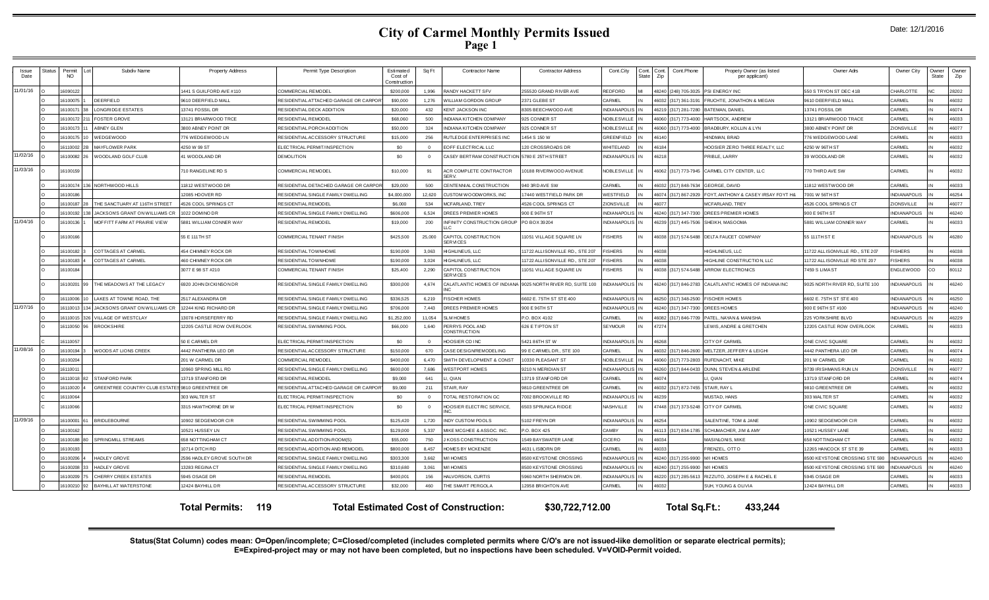| Date: 12/1/2016 |  |  |
|-----------------|--|--|
|-----------------|--|--|

| Issue<br>Date | Status | Permit<br>NO. | Subdiv Name                                      | <b>Property Address</b>           | Permit Type Description               | Estimated<br>Cost of<br>Construction | Sq Ft          | <b>Contractor Name</b>                          | <b>Contractor Address</b>       | Cont.City           | Cont.<br>State | Cont.<br>Cont.Phone<br>Zip          | Propety Owner (as listed<br>per applicant)   | Owner Adrs                     | Owner City          | Owner<br>State | Owner<br>Zip |
|---------------|--------|---------------|--------------------------------------------------|-----------------------------------|---------------------------------------|--------------------------------------|----------------|-------------------------------------------------|---------------------------------|---------------------|----------------|-------------------------------------|----------------------------------------------|--------------------------------|---------------------|----------------|--------------|
| 11/01/16      |        | 16090122      |                                                  | 441 S GUILFORD AVE #110           | COMMERCIAL REMODEL                    | \$200,000                            | 1.996          | <b>RANDY HACKETT SFV</b>                        | 255520 GRAND RIVER AVE          | EDFORD              |                | 18240<br>(248) 705-3025             | PSI ENERGY INC                               | 50 S TRYON ST DEC 41B          | CHARLOTTI           |                | 28202        |
|               |        | 16100075      | <b>DEERFIELD</b>                                 | 9610 DEERFIELD MALL               | RESIDENTIAL ATTACHED GARAGE OR CARPOR | \$90,000                             | 1,276          | <b>NILLIAM GORDON GROUP</b>                     | 2371 GLEBE ST                   | <b>ARMEL</b>        |                | 16032 (317) 361-3191                | FRUCHTE, JONATHON & MEGAN                    | 9610 DEERFIELD MALL            | CARMEL              |                | 46032        |
|               |        | 16100171      | LONGRIDGE ESTATES                                | 13741 FOSSIL DR                   | RESIDENTIAL DECK ADDITION             | \$20,000                             | 432            | <b>KENT JACKSON INC</b>                         | 8305 BEECHWOOD AVE              | <b>INDIANAPOLIS</b> |                | 46219 (317) 281-7280                | <b>BATEMAN, DANIEI</b>                       | 13741 FOSSIL DR                | CARMEL              |                | 46074        |
|               |        | 16100172      | <b>FOSTER GROVE</b>                              | 13121 BRIARWOOD TRCE              | RESIDENTIAL REMODEL                   | \$68,060                             | 500            | NDIANA KITCHEN COMPANY                          | 925 CONNER ST                   | <b>JOBLE SVILLE</b> |                | 46060 (317) 773-4000                | HARTSOCK, ANDREW                             | 3121 BRIARWOOD TRACE           | CARMEL              |                | 46033        |
|               |        | 16100173      | ABNEY GLEN                                       | 800 ABNEY POINT DR                | RESIDENTIAL PORCH ADDITION            | \$50,000                             | 324            | NDIANA KITCHEN COMPANY                          | 925 CONNER ST                   | <b>NOBLE SVILLE</b> |                | 16060<br>(317) 773-4000             | <b>BRADBURY, KOLLIN &amp; LYN</b>            | <b>8800 ABNEY POINT DR</b>     | <b>ZIONSVILLE</b>   |                | 46077        |
|               |        | 16100175      | NEDGEWOOD                                        | 776 WEDGEWOOD LN                  | RESIDENTIALACCESSORY STRUCTURE        | \$15,000                             | 256            | RUTLEDGE ENTERPRISES INC                        | 1454 S 150 W                    | REENFIELD           |                | 46140                               | HINDMAN, BRAD                                | 76 WEDGEWOOD LANE              | CARMEL              |                | 46033        |
|               |        | 16110002      | <b>MAYFLOWER PARK</b>                            | 4250 W 99 ST                      | ELECTRICAL PERMIT/INSPECTION          | \$0                                  | $\overline{0}$ | EOFF ELECTRICAL LLC                             | 120 CROSSROADS DR               | <b>HITELAND</b>     |                | 46184                               | HOOSIER ZERO THREE REALTY. LLC               | 4250 W 96TH ST                 | CARMEL              |                | 46032        |
| 11/02/16      |        | 16100082      | WOODLAND GOLF CLUB                               | 41 WOODLAND DR                    | <b>DEMOLITION</b>                     | \$0                                  | $\overline{0}$ | CASEY BERT RAM CONST RUCTION 5780 E 25TH STREET |                                 | NDIANAPOLIS         |                | 46218                               | PRIBLE, LARRY                                | 39 WOODLAND DR                 | CARMEL              |                | 46032        |
| 11/03/16      |        | 16100159      |                                                  | 710 RANGELINE RD S                | <b>COMMERCIAL REMODEL</b>             | \$10,000                             | 91             | <b>ACR COMPLETE CONTRACTOR</b><br><b>SERV</b>   | 10188 RIVERWOOD AVENUE          | NOBLE SVILLE        |                |                                     | 46062 (317) 773-7945 CARMEL CITY CENTER, LLC | 70 THIRD AVE SW                | CARMEL              |                | 46032        |
|               |        | 16100174      | 36 NORTHWOOD HILLS                               | 11812 WESTWOOD DR                 | RESIDENTIAL DETACHED GARAGE OR CARPOR | \$29,000                             | 500            | CENTENN AL CONSTRUCTION                         | 940 3RD AVE SW                  | CARMEL              |                | 46032 (317) 848-7634                | <b>GEORGE, DAVID</b>                         | 1812 WESTWOOD DR               | CARMEL              |                | 46033        |
|               |        | 16100186      |                                                  | 2085 HOOVER RD                    | RESIDENTIAL SINGLE FAMILY DWELLING    | \$4,000,000                          | 12,620         | CUSTOM WO ODWORKS, INC                          | 17440 WESTFIELD PARK DF         | WESTFIELD           |                | 16074 (317) 867-2929                | FOYT, ANTHONY & CASEY IRSAY FOYT H&          | 7001 W 56TH ST                 | INDIANAPOLIS        |                | 46254        |
|               |        | 16100187      | THE SANCTUARY AT 116TH STREET                    | 4526 COOL SPRINGS CT              | RESIDENTIAL REMODEI                   | \$6,000                              | 534            | <b>MCFARLAND, TREY</b>                          | <b>1526 COOL SPRINGS CT</b>     | <b>IONSVILLE</b>    |                | 6077                                | MCFARLAND, TREY                              | <b>1526 COOL SPRINGS CT</b>    | <b>ZIONSVILLE</b>   |                | 46077        |
|               |        | 16100192      | JACKSONS GRANT ON WILLIAMS CR                    | 1022 DOMINO DR                    | RESIDENTIAL SINGLE FAMILY DWELLING    | \$606,000                            | 6,524          | OREES PREMIER HOMES                             | 900 E 96TH ST                   | NDIANAPOLIS         |                | 46240 (317) 347-7300                | DREES PREMIER HOMES                          | 900 E 96TH ST                  | NDIANAPOLIS         |                | 46240        |
| 11/04/16      |        | 16100136      | MOFFITT FARM AT PRAIRIE VIEW                     | 5881 WILLIAM CONNER WAY           | RESIDENTIAL REMODEL                   | \$19,000                             | 200            | INFINITY CONSTRUCTION GROUP                     | PO BOX 39204                    | <b>INDIANAPOLIS</b> |                | 46239 (317) 445-7506                | SHEIKH, MASOOMA                              | 5881 WILLIAM CONNER WAY        | CARMEL              |                | 46033        |
|               |        | 16100166      |                                                  | 55 E 111 TH ST                    | COMMERCIAL TENANT FINISH              | \$425,500                            | 25,000         | CAPITOL CONSTRUCTION<br><b>SERVICES</b>         | 11051 VILLAGE SQUARE LN         | <b>ISHERS</b>       |                |                                     | 46038 (317) 574-5488 DELTA FAUCET COMPANY    | 55 111TH ST E                  | <b>INDIANAPOLIS</b> |                | 46280        |
|               |        | 16100182      | COTTAGES AT CARMEL                               | <b>454 CHIMNEY ROCK DR</b>        | RESIDENTIAL TOWNHOME                  | \$190,000                            | 3.063          | <b>HIGHLINEUS, LLC</b>                          | 11722 ALLISONVILLE RD., STE 207 | <b>ISHERS</b>       |                | 16038                               | HIGHLINEUS, LLC                              | 1722 ALLISONVILLE RD., STE 207 | <b>ISHERS</b>       |                | 46038        |
|               |        | 16100183      | COTTAGES AT CARMEL                               | 460 CHIMNEY ROCK DR               | RESIDENTIAL TOWNHOME                  | \$190,000                            | 3,024          | <b>I</b> IGHLINEUS, LLC                         | 11722 ALLISONVILLE RD., STE 207 | <b>ISHERS</b>       |                | 16038                               | HIGHLINE CONSTRUCTION, LLC                   | 1722 ALLISONVILLE RD STE 207   | <b>ISHERS</b>       |                | 46038        |
|               |        | 16100184      |                                                  | 3077 E 98 ST #210                 | COMMERCIAL TENANT FINISH              | \$25,400                             | 2,290          | CAPITOL CONSTRUCTION<br><b>SERVICES</b>         | 11051 VILLAGE SQUARE LN         | <b>ISHERS</b>       |                |                                     | 46038 (317) 574-5488 ARROW ELECTRONICS       | 7459 S LIMA ST                 | ENGLEWOOD           | CO             | 80112        |
|               |        | 16100201      | THE MEADOWS AT THE LEGACY                        | 6920 JOHN DICKINSON DR            | RESIDENTIAL SINGLE FAMILY DWELLING    | \$300,000                            | 4,674          | CALATLANTIC HOMES OF INDIANA<br>NC.             | 9025 NORTH RIVER RD, SUITE      | NDIANAPOLIS         |                | 46240 (317) 846-2783                | CALATLANTIC HOMES OF INDIANAINC              | 025 NORTH RIVER RD, SUITE 100  | NDIANAPOLIS         |                | 46240        |
|               |        | 16110006      | LAKES AT TOWNE ROAD. THE                         | 2517 ALEXANDRA DR                 | RESIDENTIAL SINGLE FAMILY DWELLING    | \$336,525                            | 6.219          | <b>FISCHER HOMES</b>                            | 602 E. 75TH ST ST E 400         | NDIANAPOLIS         |                | 16250 (317) 348-2500 FISCHER HOMES  |                                              | 602 E. 75TH ST STE 400         | <b>NDIANAPOLIS</b>  |                | 46250        |
| 11/07/16      |        | 16110013      | JACKSONS GRANT ON WILLIAMS CR                    | 12244 KING RICHARD DR             | RESIDENTIAL SINGLE FAMILY DWELLING    | \$706,000                            | 7.443          | DREES PREMIER HOMES                             | 900 E 96TH ST                   | <b>NDIANAPOLIS</b>  |                | 46240 (317) 347-7300                | DREES HOMES                                  | 00 E 96TH ST #100              | <b>NDIANAPOLIS</b>  |                | 46240        |
|               |        | 16110015      | VILLAGE OF WESTCLAY                              | 3078 HORSEFERRY RD                | RESIDENTIAL SINGLE FAMILY DWELLING    | \$1,252,000                          | 11,054         | <b>SLM HOMES</b>                                | P.O. BOX 4102                   | <b>ARMEL</b>        |                | 46082 (317) 846-7709                | PATEL, NAYAN & MANISHA                       | 25 YORKSHIRE BLVD              | INDIANAPOLIS        |                | 46229        |
|               |        | 16110050      | <b>BROOKSHIRE</b>                                | 12205 CASTLE ROW OVERLOOK         | RESIDENTIAL SWIMMING POOL             | \$66,000                             | 1,640          | PERRYS POOL AND<br>CONSTRUCTION                 | 626 E TIPTON ST                 | <b>EYMOUR</b>       |                | 47274                               | LEWIS, ANDRE & GRETCHEN                      | 12205 CASTLE ROW OVERLOOK      | CARMEL              |                | 46033        |
|               |        | 16110057      |                                                  | 50 E CARMEL DR                    | ELECTRICAL PERMIT/INSPECTION          | \$0                                  | $\Omega$       | HOOSIER CO INC                                  | 5421 86TH ST W                  | <b>INDIANAPOLIS</b> |                | 46268                               | CITY OF CARMEL                               | ONE CIVIC SQUARE               | CARMEL              |                | 46032        |
| 11/08/16      |        | 16100194      | <b>NOODS AT LIONS CREEK</b>                      | 4442 PANTHERA LEO DR              | RESIDENTIALACCESSORY STRUCTURE        | \$150,000                            | 670            | CASE DESIGNREMODELING                           | 99 E CARMEL DR., STE 100        | <b>ARMEL</b>        |                | 16032 (317) 846-2600                | MELTZER, JEFFERY & LEIGHI                    | <b>4442 PANTHERA LEO DR</b>    | CARMEL              |                | 46074        |
|               |        | 16100204      |                                                  | 201 W CARMEL DR                   | <b>COMMERCIAL REMODEL</b>             | \$400,000                            | 6.470          | SMITH DEVELOPMENT & CONST                       | 10330 PLEASANT ST               | <b>NOBLE SVILLE</b> |                | 6060<br>(317) 773-2803              | <b>RUFENACHT, MIKE</b>                       | 201 W CARMEL DR                | CARMEL              |                | 46032        |
|               |        | 1611001       |                                                  | 10960 SPRING MILL RD              | RESIDENTIAL SINGLE FAMILY DWELLING    | \$600,000                            | 7,686          | <b>NESTPORT HOMES</b>                           | 9210 N MERIDIAN ST              | <b>INDIANAPOLIS</b> |                | 46260 (317) 844-0433                | DUNN, STEVEN & ARLENE                        | 9739 IRISHMANS RUN LN          | ZIONSVILLE          |                | 46077        |
|               |        | 16110018      | <b>STANFORD PARK</b>                             | 13719 STANFORD DR                 | RESIDENTIAL REMODEL                   | \$9,000                              | 641            | J. QIAN                                         | 13719 STANFORD DR               | <b>ARMEL</b>        |                | 46074                               | LI. QIAN                                     | 3719 STANFORD DR               | CARMEL              |                | 46074        |
|               |        | 16110020      | GREENTREE COUNTRY CLUB ESTATES 9810 GREENTREE DR |                                   | RESIDENTIAL ATTACHED GARAGE OR CARPOR | \$9,000                              | 211            | STAIR, RAY                                      | 9810 GREENTREE DR               | <b>ARMEL</b>        |                | 46032 (317) 872-7455 STAIR, RAY I   |                                              | 9810 GREENTREE DR              | CARMEL              |                | 46032        |
|               |        | 16110064      |                                                  | <b>803 WALTER ST</b>              | ELECTRICAL PERMIT/INSPECTION          | \$0                                  | $\Omega$       | <b>FOTAL RESTORATION GC</b>                     | 7002 BROOKVILLE RD              | VDIANAPOLIS         |                | 16239                               | MUSTAD, HANS                                 | <b>303 WALTER ST</b>           | CARMEL              |                | 46032        |
|               |        | 16110066      |                                                  | 3315 HAWTHORNE DR W               | ELECTRICAL PERMIT/INSPECTION          | \$0                                  | $\overline{0}$ | OOSIER ELECTRIC SERVICE,                        | 6503 SPRUNICA RIDGE             | NASHVILLE           |                | 47448 (317) 373-5248 CITY OF CARMEL |                                              | ONE CIVIC SQUARE               | CARMEL              |                | 46032        |
| 11/09/16      |        | 16100001      | <b>BRIDLEBOURNE</b>                              | 0902 SEDGEMOOR CIR                | RESIDENTIAL SWIMMING POOL             | \$125,420                            | 1,720          | INDY CUSTOM POOLS                               | 5102 FREYN DR                   | <b>NDIANAPOLIS</b>  |                | 6254                                | SALENTINE, TOM & JANE                        | 0902 SEDGEMOOR CIR             | CARMEL              |                | 46032        |
|               |        | 16100162      |                                                  | 0521 HUSSEY LN                    | RESIDENTIAL SWIMMING POOL             | \$129,000                            | 5,337          | MIKE MCGHEE & ASSOC. INC.                       | P.O. BOX 425                    | AMBY:               |                | 46113 (317) 834-1785                | SCHUMACHER, JIM & AMY                        | 0521 HUSSEY LANE               | CARMEL              |                | 46032        |
|               |        | 16100188      | SPRINGMILL STREAMS                               | 658 NOTTINGHAM CT                 | RESIDENTIAL ADDITION-ROOM(S           | \$55,000                             | 750            | <b>KOSS CONSTRUCTION</b>                        | 1549 BAYSWATER LANE             | CICERO              |                | 46034                               | <b>MASINLONIS, MIKE</b>                      | 658 NOTTINGHAM CT              | CARMEL              |                | 46032        |
|               |        | 16100193      |                                                  | 10714 DITCH RD                    | RESIDENTIAL ADDITION AND REMODEL      | \$800,000                            | 8,457          | HOMES BY MCKENZIE                               | 4631 LISBORN DR                 | <b>ARMEL</b>        |                | 603                                 | FRENZEL, OTTO                                | 2265 HANCOCK ST STE 39         | CARMEL              |                | 46033        |
|               |        | 16100206      | HADLEY GROVE                                     | <b>2596 HADLEY GROVE SOUTH DR</b> | RESIDENTIAL SINGLE FAMILY DWELLING    | \$303,300                            | 3.662          | M/I HOMES                                       | 3500 KEYSTONE CROSSING          | <b>NDIANAPOLIS</b>  |                | 16240 (317) 255-9900                | <b>M/I HOMES</b>                             | 3500 KEYSTONE CROSSING STE 590 | <b>INDIANAPOLIS</b> |                | 46240        |
|               |        | 16100208      | HADLEY GROVE                                     | 13283 REGINA CT                   | RESIDENTIAL SINGLE FAMILY DWELLING    | \$310,680                            | 3,061          | M/I HOMES                                       | 8500 KEYSTONE CROSSING          | <b>INDIANAPOLIS</b> |                | 46240 (317) 255-9900                | <b>M/I HOMES</b>                             | 3500 KEYSTONE CROSSING STE 590 | INDIANAPOLIS        |                | 46240        |
|               |        | 16100209      | CHERRY CREEK ESTATES                             | 5945 OSAGE DR                     | RESIDENTIAL REMODEL                   | \$400,001                            | 156            | HALVORSON, CURTIS                               | 5960 NORTH SHERMON DR.          | <b>NDIANAPOLIS</b>  |                | 16220 (317) 285-561                 | RIZZUTO, JOSEPH E & RACHEL E                 | <b>945 OSAGE DR</b>            | CARMEL              |                | 46033        |
|               |        | 16100210      | <b>BAYHILL AT WATERSTONE</b>                     | 12424 BAYHILL DR                  | RESIDENTIALACCESSORY STRUCTURE        | \$32,000                             | 460            | THE SMART PERGOLA                               | 12958 BRIGHTON AVE              | <b>ARMEL</b>        |                | 6032                                | SUH, YOUNG & OLIVIA                          | 12424 BAYHILL DR               | <b>CARMEL</b>       |                | 46033        |

**Total Permits: 119 Total Estimated Cost of Construction: \$30,722,712.00 Total Sq.Ft.: 433,244**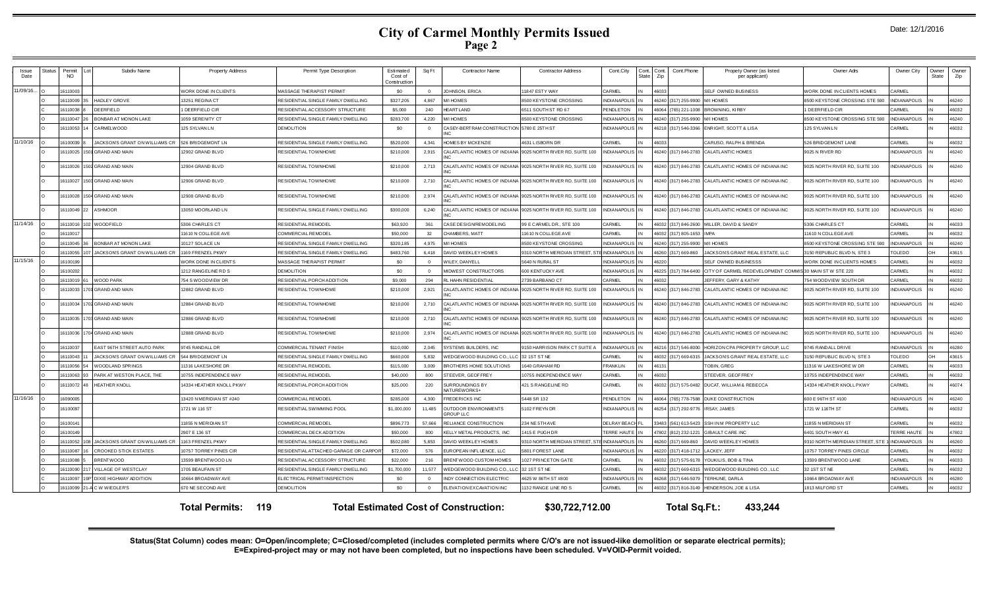| Date: 12/1/2016 |  |  |  |
|-----------------|--|--|--|
|-----------------|--|--|--|

| Issue<br>Date | status | Permit<br><b>NO</b> | Subdiv Name                      | <b>Property Address</b> | Permit Type Description               | Estimated<br>Cost of<br>Construction | Sq Ft          | <b>Contractor Name</b>                           | <b>Contractor Address</b>                                   | Cont.City                 | Cont.<br>Cont.<br>State<br>Zip | Cont.Phone                     | Propety Owner (as listed<br>per applicant)            | Owner Adrs                      | Owner City                | Owner<br>State | Owner<br>Zip |
|---------------|--------|---------------------|----------------------------------|-------------------------|---------------------------------------|--------------------------------------|----------------|--------------------------------------------------|-------------------------------------------------------------|---------------------------|--------------------------------|--------------------------------|-------------------------------------------------------|---------------------------------|---------------------------|----------------|--------------|
| 11/09/16      |        | 16110003            |                                  | WORK DONE IN CLIENTS    | MASSAGE THE RAPIST PERMIT             | \$0                                  | $\overline{0}$ | <b>JOHNSON, ERICA</b>                            | 11847 ESTY WAY                                              | CARMEL                    | 46033                          |                                | SELF OWNED BUSINESS                                   | WORK DONE IN CLIENTS HOMES      | CARMEL                    |                |              |
|               |        | 1611000             | <b>HADLEY GROVE</b>              | 3251 REGINA CT          | RESIDENTIAL SINGLE FAMILY DWELLING    | \$327,205                            | 4.867          | M/I HOMES                                        | <b>8500 KEYSTONE CROSSING</b>                               | <b>INDIANAPOLIS</b>       | 46240                          | (317) 255-9900 M/I HOMES       |                                                       | 3500 KEYSTONE CROSSING STE 590  | NDIANAPOLIS               |                | 46240        |
|               |        | 1611003             | <b>DEERFIELD</b>                 | DEERFIELD CIR           | RESIDENTIALACCESSORY STRUCTURE        | \$5,000                              | 240            | <b>HEARTLAND</b>                                 | 6511 SOUTH ST RD 67                                         | PENDLETON                 |                                |                                | 46064 (765) 221-1008 BROWNING, KIRBY                  | I DEERFIELD CIR                 | <b>ARMEL</b>              |                | 46032        |
|               |        | 16110047            | <b>BONBAR AT MONON LAKE</b>      | 059 SERENITY CT         | RESIDENTIAL SINGLE FAMILY DWELLING    | \$283,700                            | 4.220          | M/I HOMES                                        | <b>8500 KEYSTONE CROSSING</b>                               | <b>INDIANAPOLIS</b>       |                                | 46240 (317) 255-9900 M/I HOMES |                                                       | 3500 KEYSTONE CROSSING STE 590  | <b>NDIANAPOLIS</b>        |                | 46240        |
|               |        | 16110053            | CARMELWOOD                       | 125 SYLVAN LN           | <b>DEMOLITION</b>                     | \$0                                  | $\overline{0}$ | CASEY-BERTRAM CONSTRUCTION 5780 E 25TH ST<br>NC. |                                                             | INDIANAPOLIS II           |                                |                                | 46218 (317) 546-3366 ENRIGHT, SCOTT & LISA            | 125 SYLVAN LN                   | <b>ARMEL</b>              |                | 46032        |
| 11/10/16      |        | 16100039            | JACKSONS GRANT ON WILLIAMS CR    | 526 BRIDGEMONT LN       | RESIDENTIAL SINGLE FAMILY DWELLING    | \$520,000                            | 4.341          | OMES BY MCKENZIE                                 | 631 LISBORN DR                                              | CARMEL                    | 16033                          |                                | CARUSO, RALPH & BRENDA                                | 526 BRIDGEMONT LANE             | CARMEL                    |                | 46032        |
|               |        | 16110025            | <b>601 GRAND AND MAIN</b>        | 2902 GRAND BLVD         | RESIDENTIAL TOWNHOME                  | \$210,000                            | 2,915          |                                                  | CALATLANTIC HOMES OF INDIANA 9025 NORTH RIVER RD, SUITE 100 | INDIANAPOLIS IN           |                                |                                | 46240 (317) 846-2783 CALATLANTIC HOMES                | 9025 N RIVER RD                 | <b>NDIANAPOLIS</b>        |                | 46240        |
|               |        | 16110026            | 502 GRAND AND MAIN               | 2904 GRAND BLVD         | RESIDENTIAL TOWNHOME                  | \$210,000                            | 2,713          |                                                  | CALATLANTIC HOMES OF INDIANA 9025 NORTH RIVER RD, SUITE 100 | INDIANAPOLIS IN           |                                |                                | 46240 (317) 846-2783 CALATLANTIC HOMES OF INDIANA INC | 9025 NORTH RIVER RD, SUITE 100  | NDIANAPOLIS               |                | 46240        |
|               |        | 16110027            | 503 GRAND AND MAIN               | 2906 GRAND BLVD         | <b>RESIDENTIAL TOWNHOME</b>           | \$210,000                            | 2,710          |                                                  | CALATLANTIC HOMES OF INDIANA 9025 NORTH RIVER RD, SUITE 100 | NDIANAPOLIS IN            |                                |                                | 46240 (317) 846-2783 CALATLANTIC HOMES OF INDIANAINC  | 9025 NORTH RIVER RD, SUITE 100  | NDIANAPOLIS               |                | 46240        |
|               |        | 16110028            | 504 GRAND AND MAIN               | 2908 GRAND BLVD         | RESIDENTIAL TOWNHOME                  | \$210,000                            | 2,974          |                                                  | CALATLANTIC HOMES OF INDIANA 9025 NORTH RIVER RD, SUITE 100 | INDIANAPOLIS IN           |                                |                                | 46240 (317) 846-2783 CALATLANTIC HOMES OF INDIANA INC | 1025 NORTH RIVER RD. SUITE 100  | NDIANAPOLIS               |                | 46240        |
|               |        | 16110049            | <b>ASHMOOR</b>                   | 3050 MOORLAND LN        | RESIDENTIAL SINGLE FAMILY DWELLING    | \$300,000                            | 6,240          |                                                  | CALATLANTIC HOMES OF INDIANA 9025 NORTH RIVER RD. SUITE 100 | NDIANAPOLIS <sup>IN</sup> |                                |                                | 46240 (317) 846-2783 CALATLANTIC HOMES OF INDIANA INC | 1025 NORTH RIVER RD. SUITE 100  | NDIANAPOLIS               |                | 46240        |
| 11/14/16      |        | 16110016            | 2 WOODFIELD                      | 5306 CHARLES CT         | <b>RESIDENTIAL REMODEL</b>            | \$63,920                             | 361            | CASE DESIGNREMODELING                            | 99 E CARMEL DR., STE 100                                    | CARMEL                    |                                |                                | 46032 (317) 846-2600 MILLER, DAVID & SANDY            | 5306 CHARLES CT                 | ARMEL                     |                | 46033        |
|               |        | 1611001             |                                  | 1610 N COLLEGE AVE      | COMMERCIAL REMODEL                    | \$50,000                             | 32             | CHAMBERS, MATT                                   | 1610 N COLLEGE AVE                                          | CARMEL                    | \$032                          | (317) 805-1653 IMPA            |                                                       | 1610 N COLLEGE AVE              | ARMEL                     |                | 46032        |
|               |        | 16110045            | <b>BONBAR AT MONON LAKE</b>      | 10127 SOLACE LN         | RESIDENTIAL SINGLE FAMILY DWELLING    | \$320,185                            | 4,975          | <b>M/I HOMES</b>                                 | <b>8500 KEYSTONE CROSSING</b>                               | <b>INDIANAPOLIS</b> IN    |                                | 46240 (317) 255-9900 M/I HOMES |                                                       | 3500 KEYSTONE CROSSING STE 590  | <b>INDIANAPOLIS</b>       |                | 46240        |
|               |        | 1611005             | JACKSONS GRANT ON WILLIAMS CR    | 169 FRENZEL PKWY        | RESIDENTIAL SINGLE FAMILY DWELLING    | \$483,760                            | 6.418          | DAVID WEEKLEY HOMES                              | 9310 NORTH MERIDIAN STREET.                                 | INDIANAPOLIS IN           | 46260                          | (317) 669-860                  | JACKSONS GRANT REAL ESTATE, LLC                       | 3150 REPUBLIC BLVD N. STE 3     | OLEDO                     |                | 43615        |
| 11/15/16      |        | 16100199            |                                  | WORK DONE IN CLIENTS    | MASSAGE THERAPIST PERMIT              | \$0                                  | $\Omega$       | WILEY, DANYELL                                   | 5640 N RURAL ST                                             | <b>INDIANAPOLIS</b>       | 46220                          |                                | SELF OWNED BUSINESSS                                  | WORK DONE IN CLIENTS HOMES      | <b>CARMEL</b>             |                | 46032        |
|               |        | 16100202            |                                  | 212 RANGELINE RD S      | <b>DEMOLITION</b>                     | \$0                                  | $\overline{0}$ | MIDWEST CONSTRUCTORS                             | 600 KENTUCKY AVE                                            | <b>INDIANAPOLIS</b>       | 16225                          |                                | (317) 784-6400 CITY OF CARMEL REDEVELOPMENT COMMI     | 30 MAIN ST W STE 220            | CARMEL                    |                | 46032        |
|               |        | 16110019            | <b>WOOD PARK</b>                 | 54 S WOODVIEW DR        | RESIDENTIAL PORCH ADDITION            | \$9,000                              | 294            | <b>L HAHN RESIDENTIAL</b>                        | 2739 BARBANO CT                                             | CARMEL                    | 16032                          |                                | <b>IEFFERY, GARY &amp; KATHY</b>                      | 54 WOODVIEW SOUTH DR            | ARMEL                     |                | 46032        |
|               |        | 16110033            | 1 GRAND AND MAIN                 | 2882 GRAND BLVD         | RESIDENTIAL TOWNHOME                  | \$210,000                            | 2,921          | CALATLANTIC HOMES OF INDIANA                     | 9025 NORTH RIVER RD, SUITE 100                              | NDIANAPOLIS IN            |                                |                                | 46240 (317) 846-2783 CALATLANTIC HOMES OF INDIANA INC | 9025 NORTH RIVER RD, SUITE 100  | NDIANAPOLIS               |                | 46240        |
|               |        | 16110034            | 702 GRAND AND MAIN               | 12884 GRAND BLVD        | <b>RESIDENTIAL TOWNHOME</b>           | \$210,000                            | 2,710          |                                                  | CALATLANTIC HOMES OF INDIANA 9025 NORTH RIVER RD, SUITE 100 | NDIANAPOLIS IN            |                                |                                | 46240 (317) 846-2783 CALATLANTIC HOMES OF INDIANA INC | 9025 NORTH RIVER RD, SUITE 100  | NDIANAPOLIS               |                | 46240        |
|               |        | 16110035            | 703 GRAND AND MAIN               | 2886 GRAND BLVD         | RESIDENTIAL TOWNHOME                  | \$210,000                            | 2,710          |                                                  | CALATLANTIC HOMES OF INDIANA 9025 NORTH RIVER RD, SUITE 100 | INDIANAPOLIS <sup>I</sup> |                                |                                | 46240 (317) 846-2783 CALATLANTIC HOMES OF INDIANA INC | 9025 NORTH RIVER RD, SUITE 100  | NDIANAPOLIS               |                | 46240        |
|               |        | 16110036            | 04 GRAND AND MAIN                | 2888 GRAND BLVD         | RESIDENTIAL TOWNHOME                  | \$210,000                            | 2,974          |                                                  | CALATLANTIC HOMES OF INDIANA 9025 NORTH RIVER RD, SUITE 100 | <b>INDIANAPOLIS</b>       |                                |                                | 16240 (317) 846-2783 CALATLANTIC HOMES OF INDIANA INC | 9025 NORTH RIVER RD, SUITE 100  | NDIANAPOLIS               |                | 46240        |
|               |        | 1611003             | EAST 96TH STREET AUTO PARK       | 9745 RANDALL DR         | COMMERCIAL TENANT FINISH              | \$110,000                            | 2,045          | SYSTEMS BUILDERS, INC                            | 150 HARRISON PARK CT SUITE A                                | <b>INDIANAPOLIS</b>       |                                | 46216 (317) 546-8000           | HORIZON CPA PROPERTY GROUP, LLC                       | 9745 RANDALL DRIVE              | NDIANAPOLIS               |                | 46280        |
|               |        | 16110043            | JACKSONS GRANT ON WILLIAMS CR    | 544 BRIDGEMONT IN       | RESIDENTIAL SINGLE FAMILY DWELLING    | \$660,000                            | 5832           | <b><i>NEDGEWOOD BUILDING CO., LLC</i></b>        | 32 1ST ST NE                                                | CARMEL                    |                                |                                | 16032 (317) 669-6315 JACKSONS GRANT REAL ESTATE, LLC  | 150 REPUBLIC BLVD N. STE 3      | OL EDO                    |                | 43615        |
|               |        | 16110056            | <b>WOODLAND SPRINGS</b>          | 1316 LAKESHORE DR       | <b>RESIDENTIAL REMODEL</b>            | \$115,000                            | 3.009          | BROTHERS HOME SOLUTIONS                          | 1640 GRAHAM RD                                              | <b>FRANKLIN</b>           | 46131                          |                                | <b>TOBIN, GREG</b>                                    | 11316 W LAKESHORE W DR          | ARMEL                     |                | 46033        |
|               |        | 16110063            | PARK AT WESTON PLACE. THE        | 0755 INDEPENDENCE WAY   | RESIDENTIAL REMODEL                   | \$40,000                             | 800            | STEEVER, GEOFFREY                                | 0755 INDEPENDENCE WAY                                       | CARMEL                    | 46032                          |                                | STEEVER, GEOFFREY                                     | 0755 INDEPENDENCE WAY           | ARMEL                     |                | 46032        |
|               |        | 16110072            | <b>HEATHER KNOLL</b>             | 4334 HEATHER KNOLL PKWY | RESIDENTIAL PORCH ADDITION            | \$25,000                             | 220            | SUR ROUNDINGS BY<br>NATUREWORKS+                 | <b>421 S RANGELINE RD</b>                                   | CARMEL                    | 46032                          |                                | (317) 575-0482 DUCAT, WILLIAM & REBECCA               | 14334 HEATHER KNOLL PKWY        | <b>CARMEL</b>             |                | 46074        |
| 11/16/16      |        | 16090005            |                                  | 3420 N MERIDIAN ST #240 | <b>COMMERCIAL REMODEL</b>             | \$285,000                            | 4.300          | <b>REDERICKS INC</b>                             | 5448 SR 132                                                 | PENDLETON                 |                                |                                | 46064 (765) 778-7588 DUKE CONSTRUCTION                | 600 E 96TH ST #100              | NDIANAPOLIS               |                | 46240        |
|               |        | 1610009             |                                  | 1721 W 116 ST           | RESIDENTIAL SWIMMING POOL             | \$1,000,000                          | 11,485         | OUTDOOR ENVIRONMENTS<br><b>GROUP LLC</b>         | 5102 FREYN DR                                               | <b>INDIANAPOLIS</b>       | 46254                          | (317) 292-9776 IRSAY, JAMES    |                                                       | 1721 W 116TH ST                 | CARMEL                    |                | 46032        |
|               |        | 16100141            |                                  | 1855 N MERIDIAN ST      | <b>COMMERCIAL REMODEL</b>             | \$896,773                            | 57.666         | RELIANCE CONSTRUCTION                            | 234 NE 5TH AVE                                              | <b>DELRAY BEACH</b>       | 33483                          |                                | (561) 613-5423 SSH IN M PROPERTY LLC                  | 1855 N MERIDIAN ST              | <b>CARMEL</b>             |                | 46032        |
|               |        | 16100149            |                                  | 2907 E 136 ST           | COMMERCIAL DECK ADDITION              | \$50,000                             | 800            | KELLY METAL PRODUCTS, INC                        | 1415 E PUGHDR                                               | TERRE HAUTE               | 7802                           | (812) 232-1221                 | <b>GIBAULT CARE INC</b>                               | 6401 SOUTH HWY 41               | <b><i>FERRE HAUTE</i></b> |                | 47802        |
|               |        | 16110052            | 18 JACKSONS GRANT ON WILLIAMS CR | 163 FRENZEL PKWY        | RESIDENTIAL SINGLE FAMILY DWELLING    | \$502,080                            | 5,853          | DAVID WEEKLEY HOMES                              | 310 NORTH MERIDIAN STREET.                                  | <b>INDIANAPOLIS</b>       | 16260                          | (317) 669-860                  | DAVID WEEKLEY HOMES                                   | 9310 NORTH MERIDIAN STREET, STE | <b>INDIANAPOLIS</b>       |                | 46260        |
|               |        | 16110087            | <b>CROOKED STICK ESTATES</b>     | 0757 TORREY PINES CIR   | RESIDENTIAL ATTACHED GARAGE OR CARPOI | \$72,000                             | 576            | EUROPEAN INFLUENCE, LLC                          | 5801 FOREST LANE                                            | <b>INDIANAPOLIS</b>       | 6220                           |                                | (317) 418-1712 LACKEY, JEFF                           | 10757 TORREY PINES CIRCLE       | ARMEL                     |                | 46032        |
|               |        | 16110088            | <b>BRENTWOOD</b>                 | 3599 BRENTWOOD LN       | RESIDENTIALACCESSORY STRUCTURE        | \$22,000                             | 216            | BRENT WOOD CUSTOM HOMES                          | 1027 PRINCETON GATE                                         | CARMEL                    | 6032                           | 317) 575-9178                  | YOUKILIS, BOB & TINA                                  | 13599 BRENTWOOD LANE            | <b>ARMEL</b>              |                | 46033        |
|               |        | 16110090            | VILLAGE OF WESTCLAY              | 705 BEAUFAIN ST         | RESIDENTIAL SINGLE FAMILY DWELLING    | \$1,700,000                          | 11,577         | WEDGEWOOD BUILDING CO., L                        | 32 1ST ST NE                                                | CARMEL                    | 6032                           |                                | 317) 669-6315 WEDGEWOOD BUILDING CO., LLC             | 32 1ST ST NE                    | CARMEL                    |                | 46032        |
|               |        | 1611009             | P DIXIE HIGHWAY ADDITION         | 0664 BROADWAY AVE       | ELECTRICAL PERMIT/INSPECTION          | \$0                                  | $\Omega$       | NDY CONNECTION ELECTRIC                          | 4625 W 86TH ST #800                                         | <b>INDIANAPOLIS</b>       | 16268                          | (317) 646-5079                 | TERHUNE, DARLA                                        | 10664 BROADWAY AVE              | <b>NDIANAPOLIS</b>        |                | 46280        |
|               |        | 16110099            | -A C W WIEDLER'S                 | 670 NE SECOND AVE       | <b>DEMOLITION</b>                     | \$0                                  | $\Omega$       | ELEVATION EXCAVATION INC                         | 1132 RANGE LINE RD S                                        | CARMEL                    | 6032                           |                                | (317) 816-3149 HENDERSON, JOE & LISA                  | 1813 MILFORD ST                 | <b>ARMEL</b>              |                | 46032        |
|               |        |                     |                                  |                         |                                       |                                      |                |                                                  |                                                             |                           |                                |                                |                                                       |                                 |                           |                |              |

**Total Permits: 119 Total Estimated Cost of Construction: \$30,722,712.00 Total Sq.Ft.: 433,244**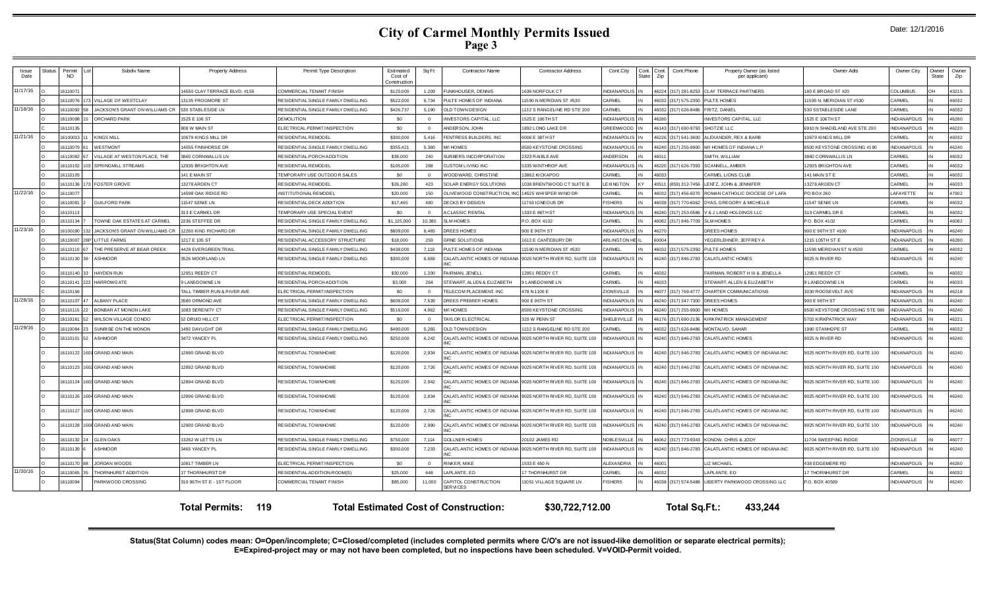| Date: 12/1/2016 |  |  |  |
|-----------------|--|--|--|
|-----------------|--|--|--|

| Issue<br>Date | <b>Status</b> | Permit<br>NO | Subdiv Name                        | <b>Property Address</b>      | Permit Type Description            | Estimated<br>Cost of<br>Construction | Sq Ft          | <b>Contractor Name</b>                  | <b>Contractor Address</b>                                   | Cont.City             | Cont.<br>State | Cont.<br>Cont.Phone<br>Zip | Propety Owner (as listed<br>per applicant)            | Owner Adrs                     | Owner City          | Owner<br>State | Owner<br>Zip |
|---------------|---------------|--------------|------------------------------------|------------------------------|------------------------------------|--------------------------------------|----------------|-----------------------------------------|-------------------------------------------------------------|-----------------------|----------------|----------------------------|-------------------------------------------------------|--------------------------------|---------------------|----------------|--------------|
| 11/17/16      |               | 16110071     |                                    | 4550 CLAY TERRACE BLVD. #155 | COMMERCIAL TENANT FINISH           | \$120,000                            | 1,209          | FUNKHOUSER, DENNIS                      | 636 NORFOLK CT                                              | <b>NDIANAPOLI</b>     |                | 16224<br>(317) 281-825     | <b>CLAY TERRACE PARTNERS</b>                          | 180 E BROAD ST #20             | <b>COLUMBUS</b>     | NΗ             | 43215        |
|               |               | 16110076     | VILLAGE OF WESTCLAY                | 3135 FROGMORE ST             | RESIDENTIAL SINGLE FAMILY DWELLING | \$522,000                            | 6.734          | PULTE HOMES OF INDIANA                  | 1590 N MERIDIAN ST #530                                     | <b>ARMEL</b>          |                | 16032<br>(317) 575-2350    | PULTE HOMES                                           | 11590 N. MERIDIAN ST #530      | CARMEL              |                | 46032        |
| 11/18/16      |               | 16110092     | JACKSONS GRANT ON WILLIAMS CR      | 530 STABLESIDE LN            | RESIDENTIAL SINGLE FAMILY DWELLING | \$426,737                            | 5,190          | OLD TOWN DESIGN                         | 1132 S RANGELINE RD STE 200                                 | <b>ARMEL</b>          |                | 46032<br>(317) 626-848     | FRITZ, DANIEL                                         | 530 SSTABLESIDE LANE           | CARMEL              |                | 46032        |
|               |               | 16110098     | ORCHARD PARK                       | 1525 E 106 ST                | <b>DEMOLITION</b>                  | \$0                                  | $\overline{0}$ | INVESTORS CAPITAL, LLC                  | 1525 E 106TH ST                                             | NDIANAPOLIS           |                | 16280                      | <b>INVESTORS CAPITAL, LLC</b>                         | 1525 E 106TH ST                | <b>INDIANAPOLIS</b> |                | 46280        |
|               |               | 1611013      |                                    | 808 W MAIN ST                | ELECTRICAL PERMIT/INSPECTION       | \$0                                  | $\Omega$       | ANDER SON, JOHN                         | 1892 LONG LAKE DR                                           | GREENWOOD             |                | 46143 (317) 690-979        | SHOTZIE LLC                                           | 6910 N SHADELAND AVE STE 200   | <b>INDIANAPOLIS</b> |                | 46220        |
| 11/21/16      |               | 16100013     | KINGS MILL                         | 10679 KINGS MILL DR          | RESIDENTIAL REMODEL                | \$300,000                            | 5.416          | FENTRESS BUILDERS. INC                  | 6006 E 38TH ST                                              | NDIANAPOLIS           |                | 16226<br>(317) 541-360     | LEXANDER, REX & BARB                                  | 10679 KINGS MILL DR            | CARMEL              |                | 46032        |
|               |               | 16110079     | WESTMONT                           | 4055 FINNHORSE DR            | RESIDENTIAL SINGLE FAMILY DWELLING | \$355.421                            | 5,360          | M/I HOMES                               | <b>8500 KEYSTONE CROSSING</b>                               | NDIANAPOLIS           |                | 16240<br>(317) 255-990     | M/I HOMES OF INDIANA L.P.                             | 3500 KEYSTONE CROSSING #190    | <b>NDIANAPOLIS</b>  |                | 16240        |
|               |               | 16110082     | VILLAGE AT WESTON PLACE, THE       | 3860 CORNWALLIS LN           | RESIDENTIAL PORCH ADDITION         | \$38,000                             | 240            | SURBERS INCORPORATION                   | 2323 RAIBLE AVE                                             | <b>NDERSON</b>        |                | 16011                      | SMITH, WILLIAM                                        | 3860 CORNWALLIS LN             | CARMEL              |                | 46032        |
|               |               | 16110102     | SPRINGMILL STREAMS                 | 12935 BRIGHTON AVE           | RESIDENTIAL REMODEL                | \$105,000                            | 288            | CUSTOM LIVING INC                       | 5335 WINTHROP AVE                                           | <b>NDIANAPOLIS</b>    |                | 46220 (317) 626-739        | SCANNELL, AMBER                                       | 12935 BRIGHTON AVE             | CARMEL              |                | 46032        |
|               |               | 16110105     |                                    | 141 E MAIN ST                | TEMPORARY USE OUTDOOR SALES        | \$0                                  | $\overline{0}$ | WOODWARD, CHRISTINE                     | 13862 KICKAPOO                                              | CARMEL                |                | 46033                      | CARMEL LIONS CLUB                                     | 141 MAIN ST E                  | CARMEL              |                | 46032        |
|               |               | 16110136     | 173 FOSTER GROVE                   | 13278 ARDEN CT               | RESIDENTIAL REMODEL                | \$26,280                             | 423            | SOLAR ENERGY SOLUTIONS                  | 1038 BRENTWOOD CT SUITE B                                   | <b>EXINGTON</b>       |                | 40511<br>(859) 312-7456    | LENTZ, JOHN & JENNIFER                                | 13278 ARDEN CT                 | CARMEL              |                | 46033        |
| 11/22/16      |               | 16110077     |                                    | 14598 OAK RIDGE RD           | INSTITUTIONAL REMODEL              | \$20,000                             | 150            | OLIVEWOOD CONSTRUCTION, II              | 14525 WH SPER WIND DR                                       | CARMEL                |                | 46032<br>(317) 456-607     | ROMAN CATHOLIC DIOCESE OF LAFA                        | PO BOX 260                     | LAFAYETTE           |                | 47902        |
|               |               | 16110081     | <b>GUILFORD PARK</b>               | 1547 SENIF LN                | RESIDENTIAL DECK ADDITION          | \$17,465                             | 480            | DECKS BY DESIGN                         | 1763 IGNEOUS DR                                             | <b>ISHERS</b>         |                | 86038                      | (317) 770-6062 DYAS, GREGORY & MICHELLE               | 11547 SENIE LN                 | CARMEL              |                | 46032        |
|               |               | 16110113     |                                    | 313 E CARMEL DR              | TEMPORARY USE SPECIAL EVENT        | \$0                                  | $\Omega$       | A CLASSIC RENTAL                        | 1333 E 86TH ST                                              | <b>NDIANAPOLIS</b>    |                | 46240<br>(317) 253-0586    | V & J LAND HOLDINGS LLC                               | 313 CARMEL DR E                | CARMEL              |                | 46032        |
|               |               | 16110134     | TOWNE OAK ESTATES AT CARMEL        | 2236 STEFFEE DR              | RESIDENTIAL SINGLE FAMILY DWELLING | \$1,125,000                          | 10.380         | <b>SLM HOMES</b>                        | P.O. BOX 4102                                               | CARMEL                |                | 46082 (317) 846-7709       | <b>SLM HOMES</b>                                      | P.O. BOX 4102                  | CARMEL              |                | 46082        |
| 11/23/16      |               | 16100190     | JACKSONS GRANT ON WILLIAMS CR      | 12260 KING RICHARD DR        | RESIDENTIAL SINGLE FAMILY DWELLING | \$809,000                            | 8.465          | DREES HOMES                             | 900 E 96TH ST                                               | <b>NDIANAPOLI</b>     |                | 46270                      | DREES HOMES                                           | 900 E 96TH ST #100             | <b>INDIANAPOLIS</b> |                | 46240        |
|               |               | 16110007     | <b>28PT LITTLE FARMS</b>           | 1217 E 105 ST                | RESIDENTIALACCESSORY STRUCTURE     | \$18,000                             | 259            | <b>GRNE SOLUTIONS</b>                   | 1612 E CANTEBURY DR                                         | <b>ARLINGTON H</b>    |                | 60004                      | YEGERLEHNER, JEFFREY A                                | 1215 105TH ST E                | <b>INDIANAPOLIS</b> |                | 46280        |
|               |               | 16110110     | THE PRESERVE AT BEAR CREEK         | <b>4428 EVERGREEN TRAIL</b>  | RESIDENTIAL SINGLE FAMILY DWELLING | \$438,000                            | 7.119          | PULTE HOMES OF INDIANA                  | 1590 N MERIDIAN ST #530                                     | <b>ARMEL</b>          |                | 16032<br>(317) 575-235     | PULTE HOMES                                           | 11590 MERIDIAN ST N #530       | CARMEL              |                | 46032        |
|               |               | 16110130     | <b>ASHMOOR</b>                     | 3526 MOORLAND LN             | RESIDENTIAL SINGLE FAMILY DWELLING | \$300,000                            | 6,669          | NC.                                     | CALATLANTIC HOMES OF INDIANA 9025 NORTH RIVER RD, SUITE 100 | NDIANAPOLIS           |                | 46240 (317) 846-2783       | CALATLANTIC HOMES                                     | 9025 N RIVER RD                | <b>NDIANAPOLIS</b>  |                | 46240        |
|               |               | 16110140     | HAYDEN RUN                         | 2951 REEDY CT                | <b>RESIDENTIAL REMODEL</b>         | \$30,000                             | 1,200          | FAIRMAN, JENELL                         | 2951 REDDY CT                                               | CARMEL                |                | 16032                      | AIRMAN, ROBERT HIII & JENELLA                         | 12951 REEDY CT                 | CARMEL              |                | 46032        |
|               |               | 16110141     | 222 HARROWGATE                     | <b>9 LANSDOWNE LN</b>        | RESIDENTIAL PORCH ADDITION         | \$3,000                              | 264            | STEWART, ALLEN & ELIZABETH              | <b>9 LANSDOWNE LN</b>                                       | CARMEL                |                | 46033                      | STEWART, ALLEN & ELIZABETH                            | 9 LANSDOWNE LN                 | CARMEL              |                | 46033        |
|               |               | 16110156     |                                    | TALL TIMBER RUN & RIVER AVE  | ELECTRICAL PERMIT/INSPECTION       | \$0                                  | $\Omega$       | TELECOM PLACEMENT. INC                  | 478 N 1100 E                                                | <b>IONSVILLE</b>      |                | 46077 (317) 769-4777       | CHARTER COMMUNICATIONS                                | 3030 ROOSEVELT AVE             | <b>INDIANAPOLIS</b> |                | 46218        |
| 11/28/16      |               | 16110107     | ALBANY PLACE                       | 3580 ORMOND AVE              | RESIDENTIAL SINGLE FAMILY DWELLING | \$608,000                            | 7.539          | DREES PREMIER HOMES                     | 900 E 96TH ST                                               | <b>NDIANAPOLIS</b>    |                | 46240 (317) 347-7300       | DREES HOMES                                           | 900 E 96TH ST                  | <b>INDIANAPOLIS</b> |                | 46240        |
|               |               | 1611011      | BONBAR AT MONON LAKE               | 1083 SERENITY CT             | RESIDENTIAL SINGLE FAMILY DWELLING | \$516,000                            | 4,962          | M/I HOMES                               | <b>8500 KEYSTONE CROSSING</b>                               | NDIANAPOLIS           |                | 46240<br>(317) 255-990     | <b>I/I HOMES</b>                                      | 8500 KEYSTONE CROSSING STE 590 | <b>INDIANAPOLIS</b> |                | 46240        |
|               |               | 16110161     | <b><i>NILSON VILLAGE CONDO</i></b> | 2 DRUID HILL CT              | ELECTRICAL PERMIT/INSPECTION       | \$0                                  | $\Omega$       | TAYLOR ELECTRICAL                       | 329 W PENN ST                                               | HELBYVILLE            |                | 16176<br>(317) 690-213     | <b>KIRKPATRICK MANAGEMENT</b>                         | 5702 KIRKPATRICK WAY           | <b>NDIANAPOLIS</b>  |                | 46221        |
| 11/29/16      |               | 16110084     | SUNRISE ON THE MONON               | 1492 DAYLIGHT DR             | RESIDENTIAL SINGLE FAMILY DWELLING | \$490,000                            | 5,265          | OLD TOWN DESIGN                         | 132 S RANGELINE RD STE 200                                  | ARMEL                 |                | 16032<br>(317) 626-8486    | MONTALVO, SAHAR                                       | 1990 STANHOPE ST               | CARMEL              |                | 46032        |
|               |               | 16110101     | ASHMOOR                            | 3472 YANCEY PL               | RESIDENTIAL SINGLE FAMILY DWELLING | \$250,000                            | 6,242          |                                         | CALATLANTIC HOMES OF INDIANA 9025 NORTH RIVER RD, SUITE 100 | NDIANAPOLIS           |                | 16240<br>(317) 846-2783    | <b>CALATLANTIC HOMES</b>                              | 9025 N RIVER RD                | INDIANAPOLIS        |                | 46240        |
|               |               | 16110122     | 1601 GRAND AND MAIN                | 12890 GRAND BLVD             | RESIDENTIAL TOWNHOME               | \$120,000                            | 2,934          | <b>NIC</b>                              | CALATLANTIC HOMES OF INDIANA 9025 NORTH RIVER RD, SUITE 100 | NDIANAPOLIS IN        |                |                            | 46240 (317) 846-2783 CALATLANTIC HOMES OF INDIANA INC | 9025 NORTH RIVER RD, SUITE 100 | NDIANAPOLIS         |                | 46240        |
|               |               | 16110123     | 1602 GRAND AND MAIN                | 2892 GRAND BLVD              | RESIDENTIAL TOWNHOME               | \$120,000                            | 2,726          |                                         | CALATLANTIC HOMES OF INDIANA 9025 NORTH RIVER RD, SUITE 100 | <b>NDIANAPOLIS IN</b> |                |                            | 46240 (317) 846-2783 CALATLANTIC HOMES OF INDIANAINC  | 9025 NORTH RIVER RD, SUITE 100 | NDIANAPOLIS         |                | 46240        |
|               |               | 16110124     | 1603 GRAND AND MAIN                | 2894 GRAND BLVD              | RESIDENTIAL TOWNHOME               | \$120,000                            | 2,942          |                                         | CALATLANTIC HOMES OF INDIANA 9025 NORTH RIVER RD, SUITE 100 | NDIANAPOLIS IN        |                |                            | 46240 (317) 846-2783 CALATLANTIC HOMES OF INDIANA INC | 9025 NORTH RIVER RD, SUITE 100 | NDIANAPOLIS         |                | 46240        |
|               |               | 16110126     | 1604 GRAND AND MAIN                | 2896 GRAND BLVD              | RESIDENTIAL TOWNHOME               | \$120,000                            | 2,834          |                                         | CALATLANTIC HOMES OF INDIANA 9025 NORTH RIVER RD, SUITE 100 | NDIANAPOLIS IN        |                |                            | 46240 (317) 846-2783 CALATLANTIC HOMES OF INDIANA INC | 9025 NORTH RIVER RD, SUITE 100 | NDIANAPOLIS         |                | 46240        |
|               |               | 16110127     | 1605 GRAND AND MAIN                | 2898 GRAND BLVD              | RESIDENTIAL TOWNHOME               | \$120,000                            | 2,726          |                                         | CALATLANTIC HOMES OF INDIANA 9025 NORTH RIVER RD, SUITE 100 | <b>NDIANAPOLIS</b> IN |                |                            | 46240 (317) 846-2783 CALATLANTIC HOMES OF INDIANA INC | 9025 NORTH RIVER RD, SUITE 100 | NDIANAPOLIS         |                | 46240        |
|               |               | 16110128     | 606 GRAND AND MAIN                 | 2900 GRAND BLVD              | RESIDENTIAL TOWNHOME               | \$120,000                            | 2,990          |                                         | CALATLANTIC HOMES OF INDIANA 9025 NORTH RIVER RD, SUITE 100 | NDIANAPOLIS IN        |                |                            | 46240 (317) 846-2783 CALATLANTIC HOMES OF INDIANAINC  | 9025 NORTH RIVER RD, SUITE 100 | NDIANAPOLIS         |                | 46240        |
|               |               | 16110132     | <b>GLEN OAKS</b>                   | 3262 W LETTS LN              | RESIDENTIAL SINGLE FAMILY DWELLING | \$750,000                            | 7.114          | <b>GOLLNER HOMES</b>                    | 20102 JAMES RD                                              | <b>VOBLE SVILLE</b>   |                | 46062<br>(317) 773-9343    | KONOW, CHRIS & JODY                                   | 1704 SWEEPING RIDGE            | <b>IONSVILLE</b>    |                | 16077        |
|               |               | 16110139     | <b>ASHMOOR</b>                     | 3465 YANCEY PL               | RESIDENTIAL SINGLE FAMILY DWELLING | \$300,000                            | 7,233          |                                         | CALATLANTIC HOMES OF INDIANA 9025 NORTH RIVER RD, SUITE 100 | <b>INDIANAPOLIS</b>   |                |                            | 46240 (317) 846-2783 CALATLANTIC HOMES OF INDIANAINC  | 9025 NORTH RIVER RD, SUITE 100 | INDIANAPOLIS        |                | 46240        |
|               |               | 16110170     | <b>JORDAN WOODS</b>                | 0817 TIMBER LN               | ELECTRICAL PERMIT/INSPECTION       | \$0                                  | $\Omega$       | RINKER, MIKE                            | 1533 E 650 N                                                | LEXANDRIA             |                | 46001                      | <b>IZ MICHAEL</b>                                     | 138 EDGEMERE RD                | NDIANAPOLIS         |                | 46260        |
| 11/30/16      |               | 16110065     | HORNHURST ADDITION                 | 7 THORNHURST DR              | RESIDENTIAL ADDITION-ROOM(S        | \$25,000                             | 648            | LAPLANTE, ED                            | 7 THORNHURST DR                                             | <b>ARMEL</b>          |                | 16032                      | APLANTE, ED                                           | 17 THORNHURST DR               | <b>CARMEL</b>       |                | 46032        |
|               |               | 16110094     | PARKWOOD CROSSING                  | 310 96TH ST E - 1ST FLOOR    | COMMERCIAL TENANT FINISH           | \$85,000                             | 11,000         | CAPITOL CONSTRUCTION<br><b>SERVICES</b> | 11051 VILLAGE SQUARE LN                                     | <b>ISHERS</b>         |                |                            | 46038 (317) 574-5488 LIBERTY PARKWOOD CROSSING LLC    | P.O. BOX 40509                 | <b>INDIANAPOLIS</b> |                | 46240        |

**Total Permits: 119 Total Estimated Cost of Construction: \$30,722,712.00 Total Sq.Ft.: 433,244**